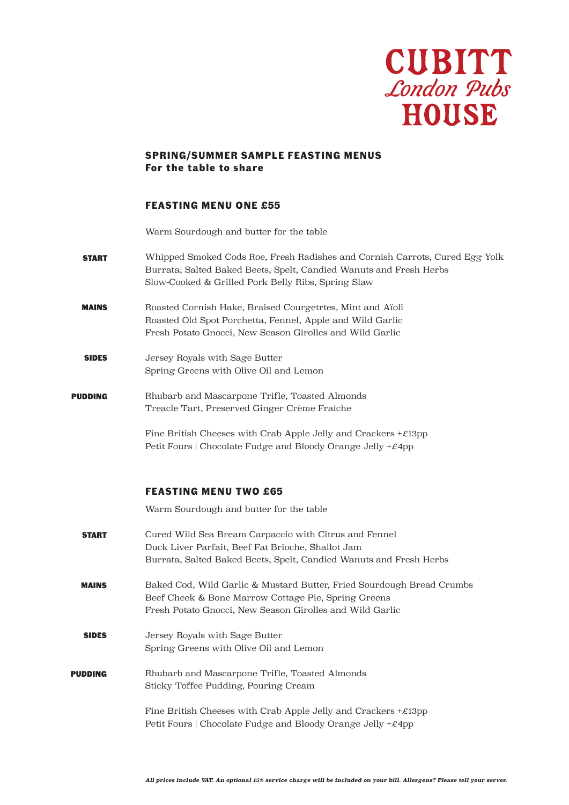

## **SPRING/SUMMER SAMPLE FEASTING MENUS For the table to share**

### **FEASTING MENU ONE £55**

Warm Sourdough and butter for the table

- START Whipped Smoked Cods Roe, Fresh Radishes and Cornish Carrots, Cured Egg Yolk Burrata, Salted Baked Beets, Spelt, Candied Wanuts and Fresh Herbs Slow-Cooked & Grilled Pork Belly Ribs, Spring Slaw
- MAINS Roasted Cornish Hake, Braised Courgetrtes, Mint and Aïoli Roasted Old Spot Porchetta, Fennel, Apple and Wild Garlic Fresh Potato Gnocci, New Season Girolles and Wild Garlic
- SIDES Jersey Royals with Sage Butter Spring Greens with Olive Oil and Lemon
- PUDDING Rhubarb and Mascarpone Trifle, Toasted Almonds Treacle Tart, Preserved Ginger Crème Fraîche

Fine British Cheeses with Crab Apple Jelly and Crackers  $+£13$ pp Petit Fours | Chocolate Fudge and Bloody Orange Jelly +£4pp

#### **FEASTING MENU TWO £65**

Warm Sourdough and butter for the table

START MAINS SIDES PUDDING Cured Wild Sea Bream Carpaccio with Citrus and Fennel Duck Liver Parfait, Beef Fat Brioche, Shallot Jam Burrata, Salted Baked Beets, Spelt, Candied Wanuts and Fresh Herbs Baked Cod, Wild Garlic & Mustard Butter, Fried Sourdough Bread Crumbs Beef Cheek & Bone Marrow Cottage Pie, Spring Greens Fresh Potato Gnocci, New Season Girolles and Wild Garlic Jersey Royals with Sage Butter Spring Greens with Olive Oil and Lemon Rhubarb and Mascarpone Trifle, Toasted Almonds Sticky Toffee Pudding, Pouring Cream Fine British Cheeses with Crab Apple Jelly and Crackers  $+£13$ pp Petit Fours | Chocolate Fudge and Bloody Orange Jelly +£4pp